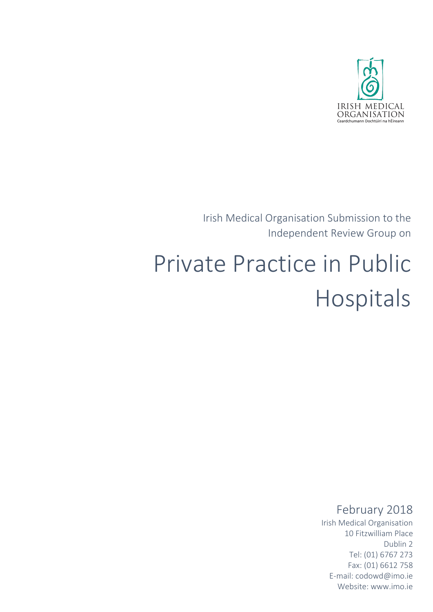

Irish Medical Organisation Submission to the Independent Review Group on

# Private Practice in Public Hospitals

# February 2018

Irish Medical Organisation 10 Fitzwilliam Place Dublin 2 Tel: (01) 6767 273 Fax: (01) 6612 758 E-mail: codowd@imo.ie Website: www.imo.ie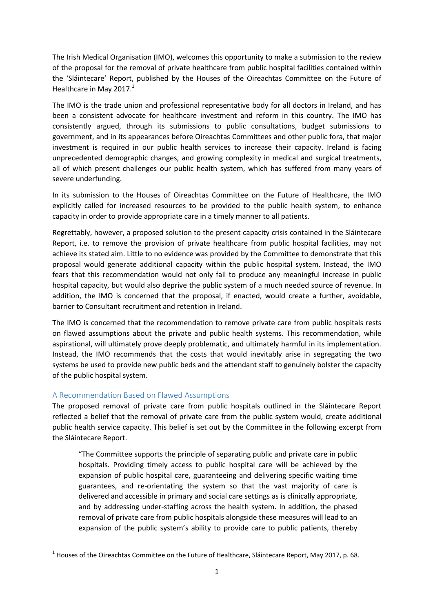The Irish Medical Organisation (IMO), welcomes this opportunity to make a submission to the review of the proposal for the removal of private healthcare from public hospital facilities contained within the 'Sláintecare' Report, published by the Houses of the Oireachtas Committee on the Future of Healthcare in May 2017. $<sup>1</sup>$ </sup>

The IMO is the trade union and professional representative body for all doctors in Ireland, and has been a consistent advocate for healthcare investment and reform in this country. The IMO has consistently argued, through its submissions to public consultations, budget submissions to government, and in its appearances before Oireachtas Committees and other public fora, that major investment is required in our public health services to increase their capacity. Ireland is facing unprecedented demographic changes, and growing complexity in medical and surgical treatments, all of which present challenges our public health system, which has suffered from many years of severe underfunding.

In its submission to the Houses of Oireachtas Committee on the Future of Healthcare, the IMO explicitly called for increased resources to be provided to the public health system, to enhance capacity in order to provide appropriate care in a timely manner to all patients.

Regrettably, however, a proposed solution to the present capacity crisis contained in the Sláintecare Report, i.e. to remove the provision of private healthcare from public hospital facilities, may not achieve its stated aim. Little to no evidence was provided by the Committee to demonstrate that this proposal would generate additional capacity within the public hospital system. Instead, the IMO fears that this recommendation would not only fail to produce any meaningful increase in public hospital capacity, but would also deprive the public system of a much needed source of revenue. In addition, the IMO is concerned that the proposal, if enacted, would create a further, avoidable, barrier to Consultant recruitment and retention in Ireland.

The IMO is concerned that the recommendation to remove private care from public hospitals rests on flawed assumptions about the private and public health systems. This recommendation, while aspirational, will ultimately prove deeply problematic, and ultimately harmful in its implementation. Instead, the IMO recommends that the costs that would inevitably arise in segregating the two systems be used to provide new public beds and the attendant staff to genuinely bolster the capacity of the public hospital system.

### A Recommendation Based on Flawed Assumptions

**.** 

The proposed removal of private care from public hospitals outlined in the Sláintecare Report reflected a belief that the removal of private care from the public system would, create additional public health service capacity. This belief is set out by the Committee in the following excerpt from the Sláintecare Report.

"The Committee supports the principle of separating public and private care in public hospitals. Providing timely access to public hospital care will be achieved by the expansion of public hospital care, guaranteeing and delivering specific waiting time guarantees, and re-orientating the system so that the vast majority of care is delivered and accessible in primary and social care settings as is clinically appropriate, and by addressing under-staffing across the health system. In addition, the phased removal of private care from public hospitals alongside these measures will lead to an expansion of the public system's ability to provide care to public patients, thereby

 $^{1}$  Houses of the Oireachtas Committee on the Future of Healthcare, Sláintecare Report, May 2017, p. 68.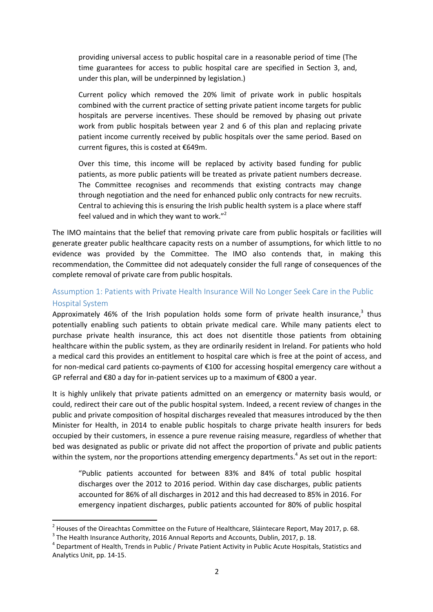providing universal access to public hospital care in a reasonable period of time (The time guarantees for access to public hospital care are specified in Section 3, and, under this plan, will be underpinned by legislation.)

Current policy which removed the 20% limit of private work in public hospitals combined with the current practice of setting private patient income targets for public hospitals are perverse incentives. These should be removed by phasing out private work from public hospitals between year 2 and 6 of this plan and replacing private patient income currently received by public hospitals over the same period. Based on current figures, this is costed at €649m.

Over this time, this income will be replaced by activity based funding for public patients, as more public patients will be treated as private patient numbers decrease. The Committee recognises and recommends that existing contracts may change through negotiation and the need for enhanced public only contracts for new recruits. Central to achieving this is ensuring the Irish public health system is a place where staff feel valued and in which they want to work."<sup>2</sup>

The IMO maintains that the belief that removing private care from public hospitals or facilities will generate greater public healthcare capacity rests on a number of assumptions, for which little to no evidence was provided by the Committee. The IMO also contends that, in making this recommendation, the Committee did not adequately consider the full range of consequences of the complete removal of private care from public hospitals.

# Assumption 1: Patients with Private Health Insurance Will No Longer Seek Care in the Public Hospital System

Approximately 46% of the Irish population holds some form of private health insurance, $3$  thus potentially enabling such patients to obtain private medical care. While many patients elect to purchase private health insurance, this act does not disentitle those patients from obtaining healthcare within the public system, as they are ordinarily resident in Ireland. For patients who hold a medical card this provides an entitlement to hospital care which is free at the point of access, and for non-medical card patients co-payments of €100 for accessing hospital emergency care without a GP referral and €80 a day for in-patient services up to a maximum of €800 a year.

It is highly unlikely that private patients admitted on an emergency or maternity basis would, or could, redirect their care out of the public hospital system. Indeed, a recent review of changes in the public and private composition of hospital discharges revealed that measures introduced by the then Minister for Health, in 2014 to enable public hospitals to charge private health insurers for beds occupied by their customers, in essence a pure revenue raising measure, regardless of whether that bed was designated as public or private did not affect the proportion of private and public patients within the system, nor the proportions attending emergency departments.<sup>4</sup> As set out in the report:

"Public patients accounted for between 83% and 84% of total public hospital discharges over the 2012 to 2016 period. Within day case discharges, public patients accounted for 86% of all discharges in 2012 and this had decreased to 85% in 2016. For emergency inpatient discharges, public patients accounted for 80% of public hospital

**.** 

 $^2$  Houses of the Oireachtas Committee on the Future of Healthcare, Sláintecare Report, May 2017, p. 68.

 $3$  The Health Insurance Authority, 2016 Annual Reports and Accounts, Dublin, 2017, p. 18.

<sup>&</sup>lt;sup>4</sup> Department of Health, Trends in Public / Private Patient Activity in Public Acute Hospitals, Statistics and Analytics Unit, pp. 14-15.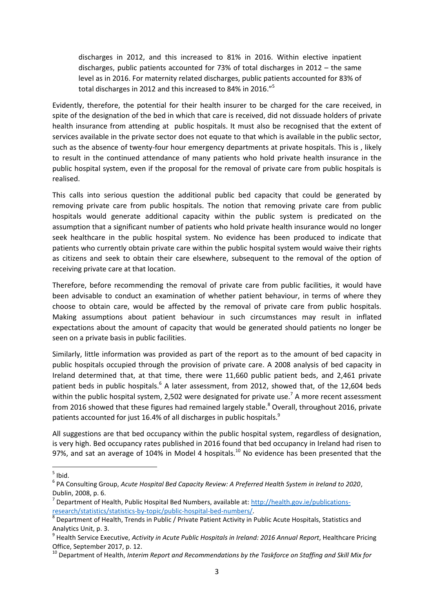discharges in 2012, and this increased to 81% in 2016. Within elective inpatient discharges, public patients accounted for 73% of total discharges in 2012 – the same level as in 2016. For maternity related discharges, public patients accounted for 83% of total discharges in 2012 and this increased to 84% in 2016."<sup>5</sup>

Evidently, therefore, the potential for their health insurer to be charged for the care received, in spite of the designation of the bed in which that care is received, did not dissuade holders of private health insurance from attending at public hospitals. It must also be recognised that the extent of services available in the private sector does not equate to that which is available in the public sector, such as the absence of twenty-four hour emergency departments at private hospitals. This is , likely to result in the continued attendance of many patients who hold private health insurance in the public hospital system, even if the proposal for the removal of private care from public hospitals is realised.

This calls into serious question the additional public bed capacity that could be generated by removing private care from public hospitals. The notion that removing private care from public hospitals would generate additional capacity within the public system is predicated on the assumption that a significant number of patients who hold private health insurance would no longer seek healthcare in the public hospital system. No evidence has been produced to indicate that patients who currently obtain private care within the public hospital system would waive their rights as citizens and seek to obtain their care elsewhere, subsequent to the removal of the option of receiving private care at that location.

Therefore, before recommending the removal of private care from public facilities, it would have been advisable to conduct an examination of whether patient behaviour, in terms of where they choose to obtain care, would be affected by the removal of private care from public hospitals. Making assumptions about patient behaviour in such circumstances may result in inflated expectations about the amount of capacity that would be generated should patients no longer be seen on a private basis in public facilities.

Similarly, little information was provided as part of the report as to the amount of bed capacity in public hospitals occupied through the provision of private care. A 2008 analysis of bed capacity in Ireland determined that, at that time, there were 11,660 public patient beds, and 2,461 private patient beds in public hospitals.<sup>6</sup> A later assessment, from 2012, showed that, of the 12,604 beds within the public hospital system, 2,502 were designated for private use.<sup>7</sup> A more recent assessment from 2016 showed that these figures had remained largely stable.<sup>8</sup> Overall, throughout 2016, private patients accounted for just 16.4% of all discharges in public hospitals.<sup>9</sup>

All suggestions are that bed occupancy within the public hospital system, regardless of designation, is very high. Bed occupancy rates published in 2016 found that bed occupancy in Ireland had risen to 97%, and sat an average of 104% in Model 4 hospitals.<sup>10</sup> No evidence has been presented that the

 $\frac{1}{5}$  Ibid.

<sup>6</sup> PA Consulting Group, *Acute Hospital Bed Capacity Review: A Preferred Health System in Ireland to 2020*, Dublin, 2008, p. 6.

<sup>&</sup>lt;sup>7</sup> Department of Health, Public Hospital Bed Numbers, available at: [http://health.gov.ie/publications](http://health.gov.ie/publications-research/statistics/statistics-by-topic/public-hospital-bed-numbers/)[research/statistics/statistics-by-topic/public-hospital-bed-numbers/.](http://health.gov.ie/publications-research/statistics/statistics-by-topic/public-hospital-bed-numbers/) 

<sup>&</sup>lt;sup>8</sup> Department of Health, Trends in Public / Private Patient Activity in Public Acute Hospitals, Statistics and Analytics Unit, p. 3.

<sup>9</sup> Health Service Executive, *Activity in Acute Public Hospitals in Ireland: 2016 Annual Report*, Healthcare Pricing Office, September 2017, p. 12.

<sup>10</sup> Department of Health, *Interim Report and Recommendations by the Taskforce on Staffing and Skill Mix for*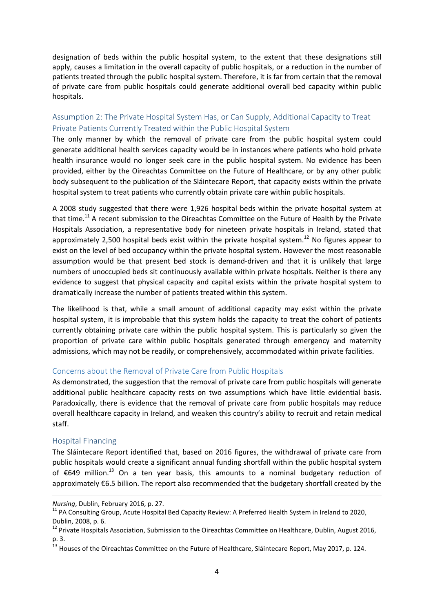designation of beds within the public hospital system, to the extent that these designations still apply, causes a limitation in the overall capacity of public hospitals, or a reduction in the number of patients treated through the public hospital system. Therefore, it is far from certain that the removal of private care from public hospitals could generate additional overall bed capacity within public hospitals.

# Assumption 2: The Private Hospital System Has, or Can Supply, Additional Capacity to Treat Private Patients Currently Treated within the Public Hospital System

The only manner by which the removal of private care from the public hospital system could generate additional health services capacity would be in instances where patients who hold private health insurance would no longer seek care in the public hospital system. No evidence has been provided, either by the Oireachtas Committee on the Future of Healthcare, or by any other public body subsequent to the publication of the Sláintecare Report, that capacity exists within the private hospital system to treat patients who currently obtain private care within public hospitals.

A 2008 study suggested that there were 1,926 hospital beds within the private hospital system at that time.<sup>11</sup> A recent submission to the Oireachtas Committee on the Future of Health by the Private Hospitals Association, a representative body for nineteen private hospitals in Ireland, stated that approximately 2,500 hospital beds exist within the private hospital system.<sup>12</sup> No figures appear to exist on the level of bed occupancy within the private hospital system. However the most reasonable assumption would be that present bed stock is demand-driven and that it is unlikely that large numbers of unoccupied beds sit continuously available within private hospitals. Neither is there any evidence to suggest that physical capacity and capital exists within the private hospital system to dramatically increase the number of patients treated within this system.

The likelihood is that, while a small amount of additional capacity may exist within the private hospital system, it is improbable that this system holds the capacity to treat the cohort of patients currently obtaining private care within the public hospital system. This is particularly so given the proportion of private care within public hospitals generated through emergency and maternity admissions, which may not be readily, or comprehensively, accommodated within private facilities.

#### Concerns about the Removal of Private Care from Public Hospitals

As demonstrated, the suggestion that the removal of private care from public hospitals will generate additional public healthcare capacity rests on two assumptions which have little evidential basis. Paradoxically, there is evidence that the removal of private care from public hospitals may reduce overall healthcare capacity in Ireland, and weaken this country's ability to recruit and retain medical staff.

#### Hospital Financing

**.** 

The Sláintecare Report identified that, based on 2016 figures, the withdrawal of private care from public hospitals would create a significant annual funding shortfall within the public hospital system of €649 million.<sup>13</sup> On a ten year basis, this amounts to a nominal budgetary reduction of approximately €6.5 billion. The report also recommended that the budgetary shortfall created by the

*Nursing*, Dublin, February 2016, p. 27.

<sup>&</sup>lt;sup>11</sup> PA Consulting Group, Acute Hospital Bed Capacity Review: A Preferred Health System in Ireland to 2020, Dublin, 2008, p. 6.

<sup>&</sup>lt;sup>12</sup> Private Hospitals Association, Submission to the Oireachtas Committee on Healthcare, Dublin, August 2016, p. 3.

<sup>&</sup>lt;sup>13</sup> Houses of the Oireachtas Committee on the Future of Healthcare, Sláintecare Report, May 2017, p. 124.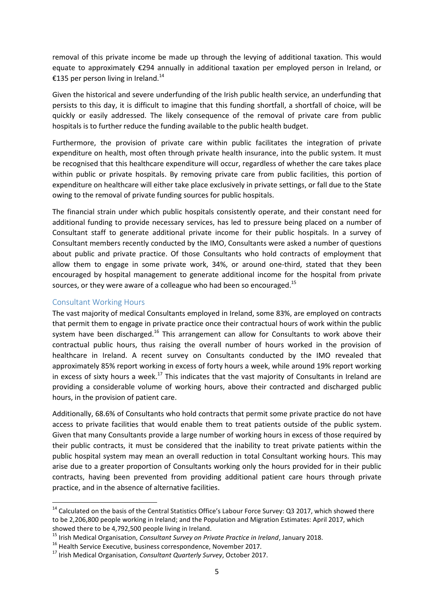removal of this private income be made up through the levying of additional taxation. This would equate to approximately €294 annually in additional taxation per employed person in Ireland, or €135 per person living in Ireland.<sup>14</sup>

Given the historical and severe underfunding of the Irish public health service, an underfunding that persists to this day, it is difficult to imagine that this funding shortfall, a shortfall of choice, will be quickly or easily addressed. The likely consequence of the removal of private care from public hospitals is to further reduce the funding available to the public health budget.

Furthermore, the provision of private care within public facilitates the integration of private expenditure on health, most often through private health insurance, into the public system. It must be recognised that this healthcare expenditure will occur, regardless of whether the care takes place within public or private hospitals. By removing private care from public facilities, this portion of expenditure on healthcare will either take place exclusively in private settings, or fall due to the State owing to the removal of private funding sources for public hospitals.

The financial strain under which public hospitals consistently operate, and their constant need for additional funding to provide necessary services, has led to pressure being placed on a number of Consultant staff to generate additional private income for their public hospitals. In a survey of Consultant members recently conducted by the IMO, Consultants were asked a number of questions about public and private practice. Of those Consultants who hold contracts of employment that allow them to engage in some private work, 34%, or around one-third, stated that they been encouraged by hospital management to generate additional income for the hospital from private sources, or they were aware of a colleague who had been so encouraged.<sup>15</sup>

#### Consultant Working Hours

**.** 

The vast majority of medical Consultants employed in Ireland, some 83%, are employed on contracts that permit them to engage in private practice once their contractual hours of work within the public system have been discharged.<sup>16</sup> This arrangement can allow for Consultants to work above their contractual public hours, thus raising the overall number of hours worked in the provision of healthcare in Ireland. A recent survey on Consultants conducted by the IMO revealed that approximately 85% report working in excess of forty hours a week, while around 19% report working in excess of sixty hours a week.<sup>17</sup> This indicates that the vast majority of Consultants in Ireland are providing a considerable volume of working hours, above their contracted and discharged public hours, in the provision of patient care.

Additionally, 68.6% of Consultants who hold contracts that permit some private practice do not have access to private facilities that would enable them to treat patients outside of the public system. Given that many Consultants provide a large number of working hours in excess of those required by their public contracts, it must be considered that the inability to treat private patients within the public hospital system may mean an overall reduction in total Consultant working hours. This may arise due to a greater proportion of Consultants working only the hours provided for in their public contracts, having been prevented from providing additional patient care hours through private practice, and in the absence of alternative facilities.

 $14$  Calculated on the basis of the Central Statistics Office's Labour Force Survey: Q3 2017, which showed there to be 2,206,800 people working in Ireland; and the Population and Migration Estimates: April 2017, which showed there to be 4,792,500 people living in Ireland.

<sup>15</sup> Irish Medical Organisation, *Consultant Survey on Private Practice in Ireland*, January 2018.

<sup>16</sup> Health Service Executive, business correspondence, November 2017.

<sup>17</sup> Irish Medical Organisation, *Consultant Quarterly Survey*, October 2017.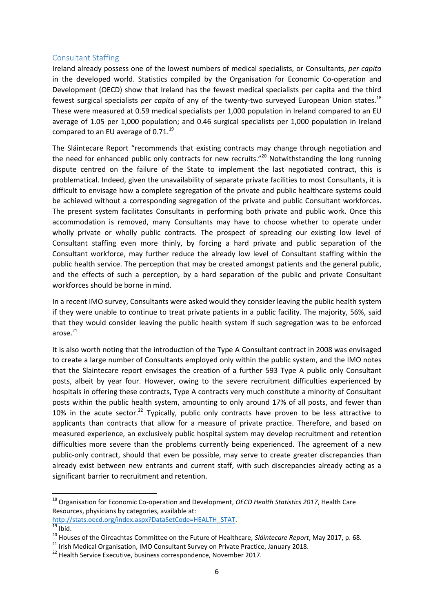#### Consultant Staffing

Ireland already possess one of the lowest numbers of medical specialists, or Consultants, *per capita* in the developed world. Statistics compiled by the Organisation for Economic Co-operation and Development (OECD) show that Ireland has the fewest medical specialists per capita and the third fewest surgical specialists *per capita* of any of the twenty-two surveyed European Union states.<sup>18</sup> These were measured at 0.59 medical specialists per 1,000 population in Ireland compared to an EU average of 1.05 per 1,000 population; and 0.46 surgical specialists per 1,000 population in Ireland compared to an EU average of  $0.71^{19}$ 

The Sláintecare Report "recommends that existing contracts may change through negotiation and the need for enhanced public only contracts for new recruits."<sup>20</sup> Notwithstanding the long running dispute centred on the failure of the State to implement the last negotiated contract, this is problematical. Indeed, given the unavailability of separate private facilities to most Consultants, it is difficult to envisage how a complete segregation of the private and public healthcare systems could be achieved without a corresponding segregation of the private and public Consultant workforces. The present system facilitates Consultants in performing both private and public work. Once this accommodation is removed, many Consultants may have to choose whether to operate under wholly private or wholly public contracts. The prospect of spreading our existing low level of Consultant staffing even more thinly, by forcing a hard private and public separation of the Consultant workforce, may further reduce the already low level of Consultant staffing within the public health service. The perception that may be created amongst patients and the general public, and the effects of such a perception, by a hard separation of the public and private Consultant workforces should be borne in mind.

In a recent IMO survey, Consultants were asked would they consider leaving the public health system if they were unable to continue to treat private patients in a public facility. The majority, 56%, said that they would consider leaving the public health system if such segregation was to be enforced arose. $21$ 

It is also worth noting that the introduction of the Type A Consultant contract in 2008 was envisaged to create a large number of Consultants employed only within the public system, and the IMO notes that the Slaintecare report envisages the creation of a further 593 Type A public only Consultant posts, albeit by year four. However, owing to the severe recruitment difficulties experienced by hospitals in offering these contracts, Type A contracts very much constitute a minority of Consultant posts within the public health system, amounting to only around 17% of all posts, and fewer than 10% in the acute sector.<sup>22</sup> Typically, public only contracts have proven to be less attractive to applicants than contracts that allow for a measure of private practice. Therefore, and based on measured experience, an exclusively public hospital system may develop recruitment and retention difficulties more severe than the problems currently being experienced. The agreement of a new public-only contract, should that even be possible, may serve to create greater discrepancies than already exist between new entrants and current staff, with such discrepancies already acting as a significant barrier to recruitment and retention.

 $\overline{a}$ 

<sup>18</sup> Organisation for Economic Co-operation and Development, *OECD Health Statistics 2017*, Health Care Resources, physicians by categories, available at:

[http://stats.oecd.org/index.aspx?DataSetCode=HEALTH\\_STAT.](http://stats.oecd.org/index.aspx?DataSetCode=HEALTH_STAT)

 $\overline{19}$  Ibid.

<sup>20</sup> Houses of the Oireachtas Committee on the Future of Healthcare, *Sláintecare Report*, May 2017, p. 68.

<sup>&</sup>lt;sup>21</sup> Irish Medical Organisation, IMO Consultant Survey on Private Practice, January 2018.

<sup>&</sup>lt;sup>22</sup> Health Service Executive, business correspondence, November 2017.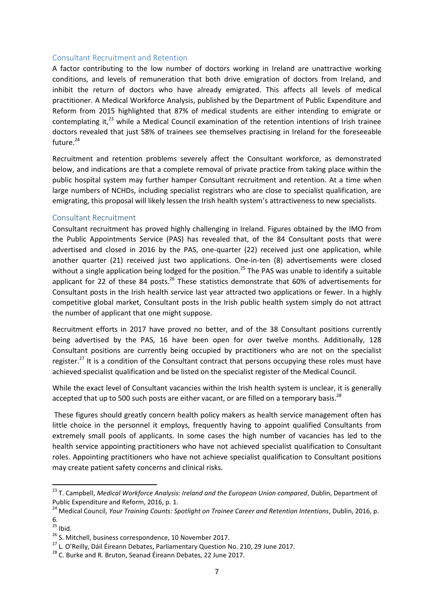#### Consultant Recruitment and Retention

A factor contributing to the low number of doctors working in Ireland are unattractive working conditions, and levels of remuneration that both drive emigration of doctors from Ireland, and inhibit the return of doctors who have already emigrated. This affects all levels of medical practitioner. A Medical Workforce Analysis, published by the Department of Public Expenditure and Reform from 2015 highlighted that 87% of medical students are either intending to emigrate or contemplating it, $^{23}$  while a Medical Council examination of the retention intentions of Irish trainee doctors revealed that just 58% of trainees see themselves practising in Ireland for the foreseeable future. $24$ 

Recruitment and retention problems severely affect the Consultant workforce, as demonstrated below, and indications are that a complete removal of private practice from taking place within the public hospital system may further hamper Consultant recruitment and retention. At a time when large numbers of NCHDs, including specialist registrars who are close to specialist qualification, are emigrating, this proposal will likely lessen the Irish health system's attractiveness to new specialists.

#### Consultant Recruitment

Consultant recruitment has proved highly challenging in Ireland. Figures obtained by the IMO from the Public Appointments Service (PAS) has revealed that, of the 84 Consultant posts that were advertised and closed in 2016 by the PAS, one-quarter (22) received just one application, while another quarter (21) received just two applications. One-in-ten (8) advertisements were closed without a single application being lodged for the position.<sup>25</sup> The PAS was unable to identify a suitable applicant for 22 of these 84 posts.<sup>26</sup> These statistics demonstrate that 60% of advertisements for Consultant posts in the Irish health service last year attracted two applications or fewer. In a highly competitive global market, Consultant posts in the Irish public health system simply do not attract the number of applicant that one might suppose.

Recruitment efforts in 2017 have proved no better, and of the 38 Consultant positions currently being advertised by the PAS, 16 have been open for over twelve months. Additionally, 128 Consultant positions are currently being occupied by practitioners who are not on the specialist register.<sup>27</sup> It is a condition of the Consultant contract that persons occupying these roles must have achieved specialist qualification and be listed on the specialist register of the Medical Council.

While the exact level of Consultant vacancies within the Irish health system is unclear, it is generally accepted that up to 500 such posts are either vacant, or are filled on a temporary basis.<sup>28</sup>

These figures should greatly concern health policy makers as health service management often has little choice in the personnel it employs, frequently having to appoint qualified Consultants from extremely small pools of applicants. In some cases the high number of vacancies has led to the health service appointing practitioners who have not achieved specialist qualification to Consultant roles. Appointing practitioners who have not achieve specialist qualification to Consultant positions may create patient safety concerns and clinical risks.

**.** 

<sup>23</sup> T. Campbell, *Medical Workforce Analysis: Ireland and the European Union compared*, Dublin, Department of Public Expenditure and Reform, 2016, p. 1.

<sup>&</sup>lt;sup>24</sup> Medical Council, *Your Training Counts: Spotlight on Trainee Career and Retention Intentions*, Dublin, 2016, p. 6.

 $25$  Ibid.

<sup>&</sup>lt;sup>26</sup> S. Mitchell, business correspondence, 10 November 2017.

<sup>&</sup>lt;sup>27</sup> L. O'Reilly, Dáil Éireann Debates, Parliamentary Question No. 210, 29 June 2017.

 $^{28}$  C. Burke and R. Bruton, Seanad Éireann Debates, 22 June 2017.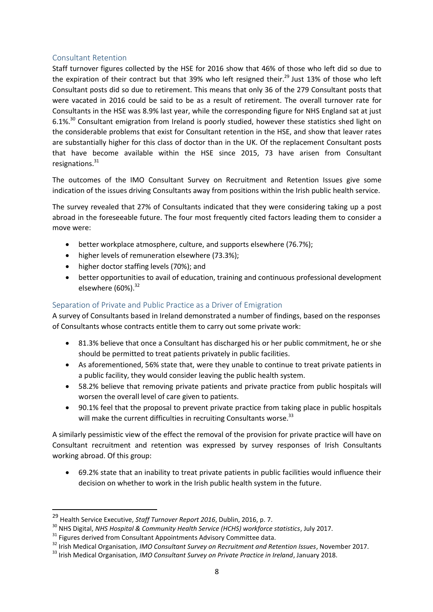# Consultant Retention

Staff turnover figures collected by the HSE for 2016 show that 46% of those who left did so due to the expiration of their contract but that 39% who left resigned their.<sup>29</sup> Just 13% of those who left Consultant posts did so due to retirement. This means that only 36 of the 279 Consultant posts that were vacated in 2016 could be said to be as a result of retirement. The overall turnover rate for Consultants in the HSE was 8.9% last year, while the corresponding figure for NHS England sat at just 6.1%<sup>30</sup> Consultant emigration from Ireland is poorly studied, however these statistics shed light on the considerable problems that exist for Consultant retention in the HSE, and show that leaver rates are substantially higher for this class of doctor than in the UK. Of the replacement Consultant posts that have become available within the HSE since 2015, 73 have arisen from Consultant resignations. $31$ 

The outcomes of the IMO Consultant Survey on Recruitment and Retention Issues give some indication of the issues driving Consultants away from positions within the Irish public health service.

The survey revealed that 27% of Consultants indicated that they were considering taking up a post abroad in the foreseeable future. The four most frequently cited factors leading them to consider a move were:

- better workplace atmosphere, culture, and supports elsewhere (76.7%);
- higher levels of remuneration elsewhere (73.3%);
- higher doctor staffing levels (70%); and
- better opportunities to avail of education, training and continuous professional development elsewhere  $(60\%)$ <sup>32</sup>

# Separation of Private and Public Practice as a Driver of Emigration

A survey of Consultants based in Ireland demonstrated a number of findings, based on the responses of Consultants whose contracts entitle them to carry out some private work:

- 81.3% believe that once a Consultant has discharged his or her public commitment, he or she should be permitted to treat patients privately in public facilities.
- As aforementioned, 56% state that, were they unable to continue to treat private patients in a public facility, they would consider leaving the public health system.
- 58.2% believe that removing private patients and private practice from public hospitals will worsen the overall level of care given to patients.
- 90.1% feel that the proposal to prevent private practice from taking place in public hospitals will make the current difficulties in recruiting Consultants worse.<sup>33</sup>

A similarly pessimistic view of the effect the removal of the provision for private practice will have on Consultant recruitment and retention was expressed by survey responses of Irish Consultants working abroad. Of this group:

 69.2% state that an inability to treat private patients in public facilities would influence their decision on whether to work in the Irish public health system in the future.

**.** 

<sup>29</sup> Health Service Executive, *Staff Turnover Report 2016*, Dublin, 2016, p. 7.

<sup>30</sup> NHS Digital, *NHS Hospital & Community Health Service (HCHS) workforce statistics*, July 2017.

<sup>&</sup>lt;sup>31</sup> Figures derived from Consultant Appointments Advisory Committee data.

<sup>32</sup> Irish Medical Organisation, *IMO Consultant Survey on Recruitment and Retention Issues*, November 2017.

<sup>33</sup> Irish Medical Organisation, *IMO Consultant Survey on Private Practice in Ireland*, January 2018.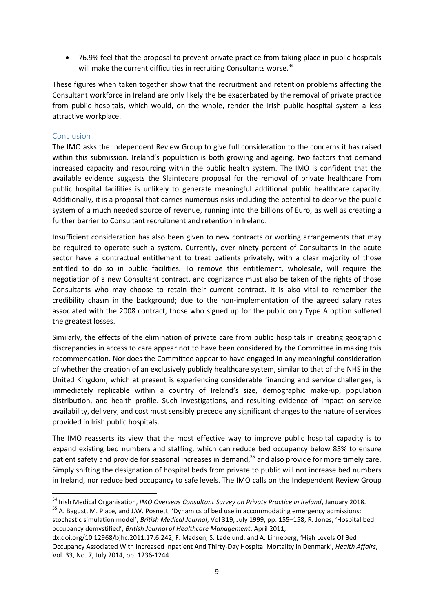76.9% feel that the proposal to prevent private practice from taking place in public hospitals will make the current difficulties in recruiting Consultants worse.<sup>34</sup>

These figures when taken together show that the recruitment and retention problems affecting the Consultant workforce in Ireland are only likely the be exacerbated by the removal of private practice from public hospitals, which would, on the whole, render the Irish public hospital system a less attractive workplace.

# **Conclusion**

 $\overline{a}$ 

The IMO asks the Independent Review Group to give full consideration to the concerns it has raised within this submission. Ireland's population is both growing and ageing, two factors that demand increased capacity and resourcing within the public health system. The IMO is confident that the available evidence suggests the Slaintecare proposal for the removal of private healthcare from public hospital facilities is unlikely to generate meaningful additional public healthcare capacity. Additionally, it is a proposal that carries numerous risks including the potential to deprive the public system of a much needed source of revenue, running into the billions of Euro, as well as creating a further barrier to Consultant recruitment and retention in Ireland.

Insufficient consideration has also been given to new contracts or working arrangements that may be required to operate such a system. Currently, over ninety percent of Consultants in the acute sector have a contractual entitlement to treat patients privately, with a clear majority of those entitled to do so in public facilities. To remove this entitlement, wholesale, will require the negotiation of a new Consultant contract, and cognizance must also be taken of the rights of those Consultants who may choose to retain their current contract. It is also vital to remember the credibility chasm in the background; due to the non-implementation of the agreed salary rates associated with the 2008 contract, those who signed up for the public only Type A option suffered the greatest losses.

Similarly, the effects of the elimination of private care from public hospitals in creating geographic discrepancies in access to care appear not to have been considered by the Committee in making this recommendation. Nor does the Committee appear to have engaged in any meaningful consideration of whether the creation of an exclusively publicly healthcare system, similar to that of the NHS in the United Kingdom, which at present is experiencing considerable financing and service challenges, is immediately replicable within a country of Ireland's size, demographic make-up, population distribution, and health profile. Such investigations, and resulting evidence of impact on service availability, delivery, and cost must sensibly precede any significant changes to the nature of services provided in Irish public hospitals.

The IMO reasserts its view that the most effective way to improve public hospital capacity is to expand existing bed numbers and staffing, which can reduce bed occupancy below 85% to ensure patient safety and provide for seasonal increases in demand,<sup>35</sup> and also provide for more timely care. Simply shifting the designation of hospital beds from private to public will not increase bed numbers in Ireland, nor reduce bed occupancy to safe levels. The IMO calls on the Independent Review Group

<sup>34</sup> Irish Medical Organisation, *IMO Overseas Consultant Survey on Private Practice in Ireland*, January 2018. <sup>35</sup> A. Bagust, M. Place, and J.W. Posnett, 'Dynamics of bed use in accommodating emergency admissions:

stochastic simulation model', *British Medical Journal*, Vol 319, July 1999, pp. 155–158; R. Jones, 'Hospital bed occupancy demystified', *British Journal of Healthcare Management*, April 2011,

dx.doi.org/10.12968/bjhc.2011.17.6.242; F. Madsen, S. Ladelund, and A. Linneberg, 'High Levels Of Bed Occupancy Associated With Increased Inpatient And Thirty-Day Hospital Mortality In Denmark', *Health Affairs*, Vol. 33, No. 7, July 2014, pp. 1236-1244.